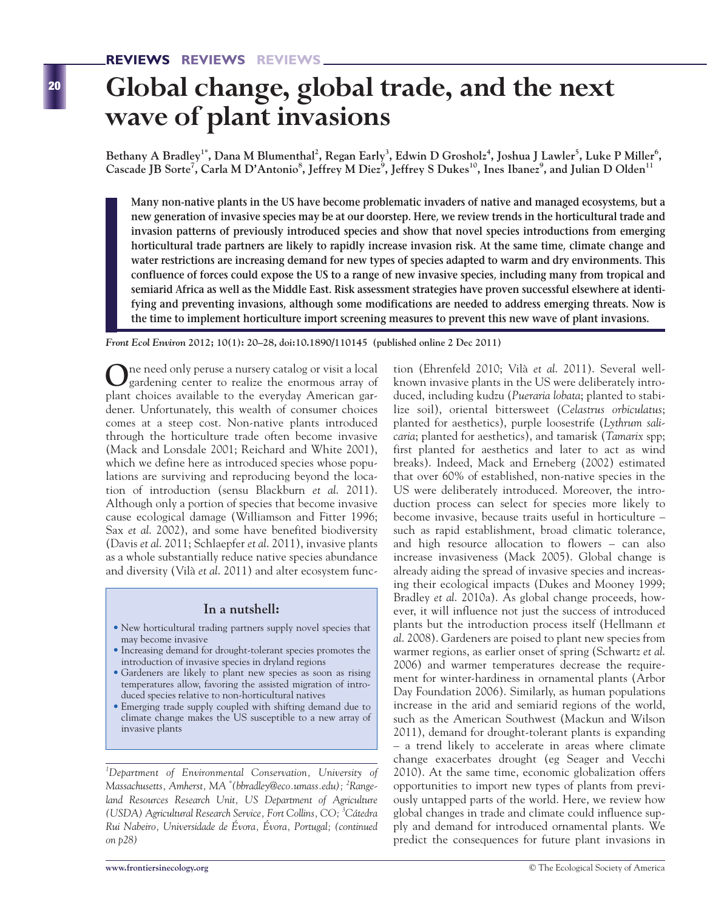# **Global change, global trade, and the next wave of plant invasions**

Bethany A Bradley<sup>1\*</sup>, Dana M Blumenthal<sup>2</sup>, Regan Early<sup>3</sup>, Edwin D Grosholz<sup>4</sup>, Joshua J Lawler<sup>5</sup>, Luke P Miller<sup>6</sup>, **Cascade JB Sorte7 , Carla M D'Antonio<sup>8</sup> , Jeffrey M Diez<sup>9</sup> , Jeffrey S Dukes10, Ines Ibanez9 , and Julian D Olden11**

**Many non-native plants in the US have become problematic invaders of native and managed ecosystems, but a new generation of invasive species may be at our doorstep. Here, we review trends in the horticultural trade and invasion patterns of previously introduced species and show that novel species introductions from emerging horticultural trade partners are likely to rapidly increase invasion risk. At the same time, climate change and water restrictions are increasing demand for new types of species adapted to warm and dry environments. This confluence of forces could expose the US to a range of new invasive species, including many from tropical and semiarid Africa as well as the Middle East. Risk assessment strategies have proven successful elsewhere at identifying and preventing invasions, although some modifications are needed to address emerging threats. Now is the time to implement horticulture import screening measures to prevent this new wave of plant invasions.** 

*Front Ecol Environ* **2012; 10(1): 20–28, doi:10.1890/110145 (published online 2 Dec 2011)**

**O**ne need only peruse a nursery catalog or visit a local gardening center to realize the enormous array of plant choices available to the everyday American gardener. Unfortunately, this wealth of consumer choices comes at a steep cost. Non-native plants introduced through the horticulture trade often become invasive (Mack and Lonsdale 2001; Reichard and White 2001), which we define here as introduced species whose populations are surviving and reproducing beyond the location of introduction (sensu Blackburn *et al*. 2011). Although only a portion of species that become invasive cause ecological damage (Williamson and Fitter 1996; Sax *et al*. 2002), and some have benefited biodiversity (Davis *et al*. 2011; Schlaepfer *et al*. 2011), invasive plants as a whole substantially reduce native species abundance and diversity (Vilà *et al*. 2011) and alter ecosystem func-

#### **In a nutshell:**

- New horticultural trading partners supply novel species that may become invasive
- Increasing demand for drought-tolerant species promotes the introduction of invasive species in dryland regions
- Gardeners are likely to plant new species as soon as rising temperatures allow, favoring the assisted migration of introduced species relative to non-horticultural natives
- Emerging trade supply coupled with shifting demand due to climate change makes the US susceptible to a new array of invasive plants

*1 Department of Environmental Conservation, University of Massachusetts, Amherst, MA \* (bbradley@eco.umass.edu); <sup>2</sup> Rangeland Resources Research Unit, US Department of Agriculture (USDA) Agricultural Research Service, Fort Collins, CO; 3 Cátedra Rui Nabeiro, Universidade de Évora, Évora, Portugal; (continued on p28)*

tion (Ehrenfeld 2010; Vilà *et al*. 2011). Several wellknown invasive plants in the US were deliberately introduced, including kudzu (*Pueraria lobata*; planted to stabilize soil), oriental bittersweet (*Celastrus orbiculatus*; planted for aesthetics), purple loosestrife (*Lythrum salicaria*; planted for aesthetics), and tamarisk (*Tamarix* spp; first planted for aesthetics and later to act as wind breaks). Indeed, Mack and Erneberg (2002) estimated that over 60% of established, non-native species in the US were deliberately introduced. Moreover, the introduction process can select for species more likely to become invasive, because traits useful in horticulture – such as rapid establishment, broad climatic tolerance, and high resource allocation to flowers – can also increase invasiveness (Mack 2005). Global change is already aiding the spread of invasive species and increasing their ecological impacts (Dukes and Mooney 1999; Bradley *et al*. 2010a). As global change proceeds, however, it will influence not just the success of introduced plants but the introduction process itself (Hellmann *et al*. 2008). Gardeners are poised to plant new species from warmer regions, as earlier onset of spring (Schwartz *et al*. 2006) and warmer temperatures decrease the requirement for winter-hardiness in ornamental plants (Arbor Day Foundation 2006). Similarly, as human populations increase in the arid and semiarid regions of the world, such as the American Southwest (Mackun and Wilson 2011), demand for drought-tolerant plants is expanding – a trend likely to accelerate in areas where climate change exacerbates drought (eg Seager and Vecchi 2010). At the same time, economic globalization offers opportunities to import new types of plants from previously untapped parts of the world. Here, we review how global changes in trade and climate could influence supply and demand for introduced ornamental plants. We predict the consequences for future plant invasions in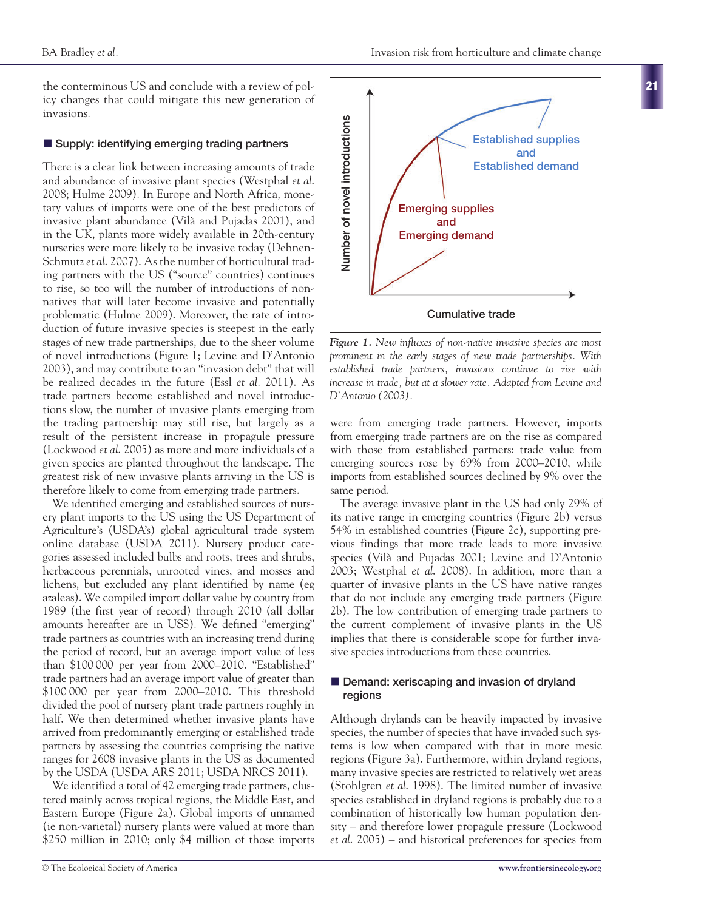**21**

the conterminous US and conclude with a review of policy changes that could mitigate this new generation of invasions.

## ■ Supply: identifying emerging trading partners

There is a clear link between increasing amounts of trade and abundance of invasive plant species (Westphal *et al*. 2008; Hulme 2009). In Europe and North Africa, monetary values of imports were one of the best predictors of invasive plant abundance (Vilà and Pujadas 2001), and in the UK, plants more widely available in 20th-century nurseries were more likely to be invasive today (Dehnen-Schmutz *et al*. 2007). As the number of horticultural trading partners with the US ("source" countries) continues to rise, so too will the number of introductions of nonnatives that will later become invasive and potentially problematic (Hulme 2009). Moreover, the rate of introduction of future invasive species is steepest in the early stages of new trade partnerships, due to the sheer volume of novel introductions (Figure 1; Levine and D'Antonio 2003), and may contribute to an "invasion debt" that will be realized decades in the future (Essl *et al*. 2011). As trade partners become established and novel introductions slow, the number of invasive plants emerging from the trading partnership may still rise, but largely as a result of the persistent increase in propagule pressure (Lockwood *et al*. 2005) as more and more individuals of a given species are planted throughout the landscape. The greatest risk of new invasive plants arriving in the US is therefore likely to come from emerging trade partners.

We identified emerging and established sources of nursery plant imports to the US using the US Department of Agriculture's (USDA's) global agricultural trade system online database (USDA 2011). Nursery product categories assessed included bulbs and roots, trees and shrubs, herbaceous perennials, unrooted vines, and mosses and lichens, but excluded any plant identified by name (eg azaleas). We compiled import dollar value by country from 1989 (the first year of record) through 2010 (all dollar amounts hereafter are in US\$). We defined "emerging" trade partners as countries with an increasing trend during the period of record, but an average import value of less than \$100 000 per year from 2000–2010. "Established" trade partners had an average import value of greater than \$100 000 per year from 2000–2010. This threshold divided the pool of nursery plant trade partners roughly in half. We then determined whether invasive plants have arrived from predominantly emerging or established trade partners by assessing the countries comprising the native ranges for 2608 invasive plants in the US as documented by the USDA (USDA ARS 2011; USDA NRCS 2011).

We identified a total of 42 emerging trade partners, clustered mainly across tropical regions, the Middle East, and Eastern Europe (Figure 2a). Global imports of unnamed (ie non-varietal) nursery plants were valued at more than \$250 million in 2010; only \$4 million of those imports



*Figure 1. New influxes of non-native invasive species are most prominent in the early stages of new trade partnerships. With established trade partners, invasions continue to rise with increase in trade, but at a slower rate. Adapted from Levine and D'Antonio (2003).*

were from emerging trade partners. However, imports from emerging trade partners are on the rise as compared with those from established partners: trade value from emerging sources rose by 69% from 2000–2010, while imports from established sources declined by 9% over the same period.

The average invasive plant in the US had only 29% of its native range in emerging countries (Figure 2b) versus 54% in established countries (Figure 2c), supporting previous findings that more trade leads to more invasive species (Vilà and Pujadas 2001; Levine and D'Antonio 2003; Westphal *et al*. 2008). In addition, more than a quarter of invasive plants in the US have native ranges that do not include any emerging trade partners (Figure 2b). The low contribution of emerging trade partners to the current complement of invasive plants in the US implies that there is considerable scope for further invasive species introductions from these countries.

# **n** Demand: xeriscaping and invasion of dryland **regions**

Although drylands can be heavily impacted by invasive species, the number of species that have invaded such systems is low when compared with that in more mesic regions (Figure 3a). Furthermore, within dryland regions, many invasive species are restricted to relatively wet areas (Stohlgren *et al*. 1998). The limited number of invasive species established in dryland regions is probably due to a combination of historically low human population density – and therefore lower propagule pressure (Lockwood *et al*. 2005) – and historical preferences for species from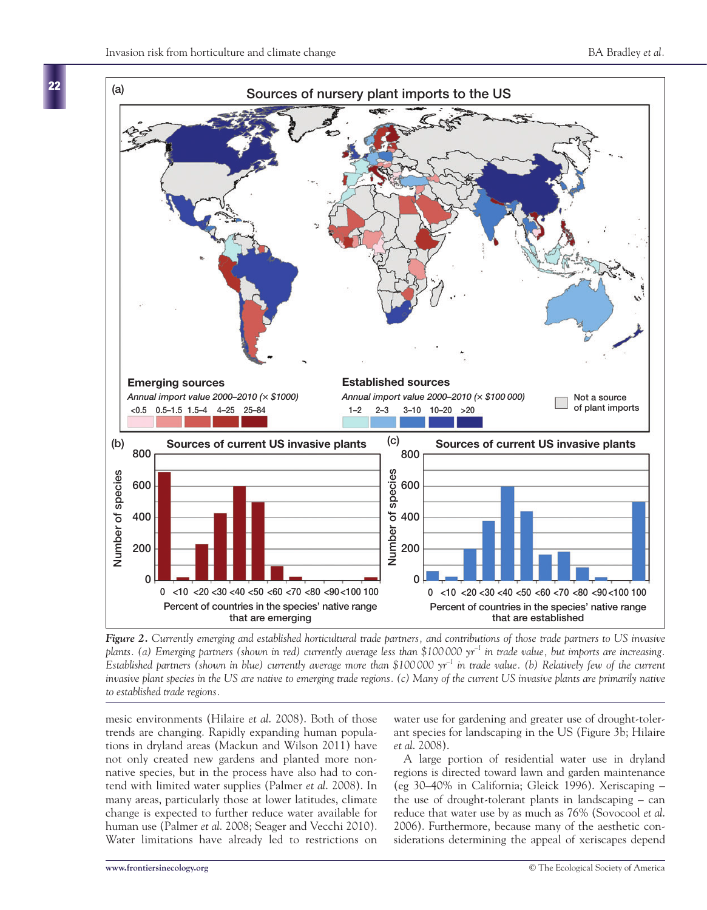

*Figure 2. Currently emerging and established horticultural trade partners, and contributions of those trade partners to US invasive plants. (a) Emerging partners (shown in red) currently average less than \$100 000 yr–1 in trade value, but imports are increasing. Established partners (shown in blue) currently average more than \$100 000 yr–1 in trade value. (b) Relatively few of the current invasive plant species in the US are native to emerging trade regions. (c) Many of the current US invasive plants are primarily native to established trade regions.*

mesic environments (Hilaire *et al*. 2008). Both of those trends are changing. Rapidly expanding human populations in dryland areas (Mackun and Wilson 2011) have not only created new gardens and planted more nonnative species, but in the process have also had to contend with limited water supplies (Palmer *et al*. 2008). In many areas, particularly those at lower latitudes, climate change is expected to further reduce water available for human use (Palmer *et al*. 2008; Seager and Vecchi 2010). Water limitations have already led to restrictions on

water use for gardening and greater use of drought-tolerant species for landscaping in the US (Figure 3b; Hilaire *et al*. 2008).

A large portion of residential water use in dryland regions is directed toward lawn and garden maintenance (eg 30–40% in California; Gleick 1996). Xeriscaping – the use of drought-tolerant plants in landscaping – can reduce that water use by as much as 76% (Sovocool *et al*. 2006). Furthermore, because many of the aesthetic considerations determining the appeal of xeriscapes depend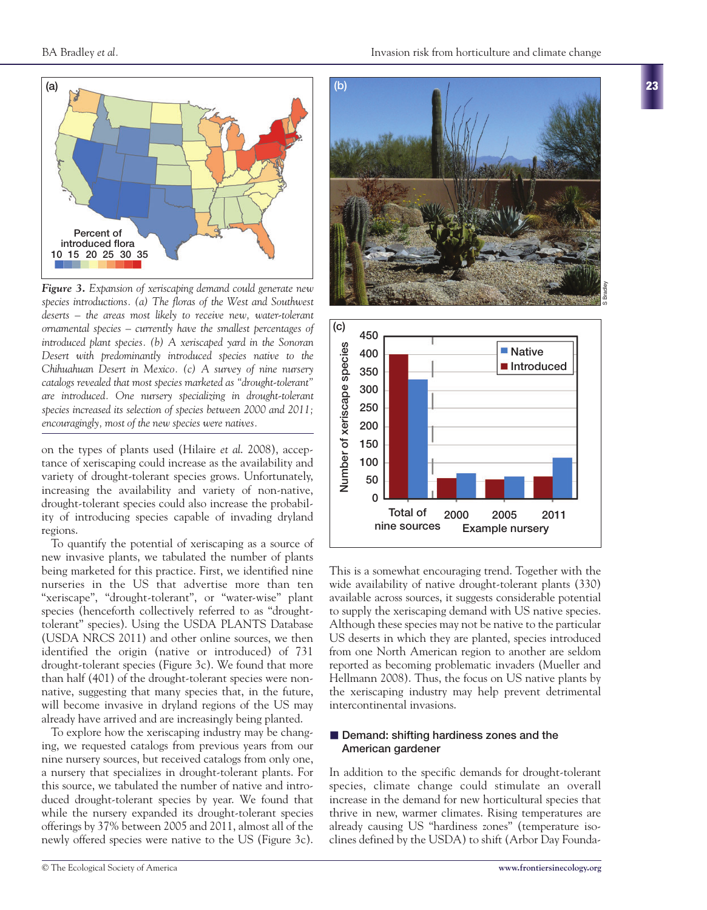**23**



*Figure 3. Expansion of xeriscaping demand could generate new species introductions. (a) The floras of the West and Southwest deserts – the areas most likely to receive new, water-tolerant ornamental species – currently have the smallest percentages of introduced plant species. (b) A xeriscaped yard in the Sonoran Desert with predominantly introduced species native to the Chihuahuan Desert in Mexico. (c) A survey of nine nursery catalogs revealed that most species marketed as "drought-tolerant" are introduced. One nursery specializing in drought-tolerant species increased its selection of species between 2000 and 2011; encouragingly, most of the new species were natives.*

on the types of plants used (Hilaire *et al*. 2008), acceptance of xeriscaping could increase as the availability and variety of drought-tolerant species grows. Unfortunately, increasing the availability and variety of non-native, drought-tolerant species could also increase the probability of introducing species capable of invading dryland regions.

To quantify the potential of xeriscaping as a source of new invasive plants, we tabulated the number of plants being marketed for this practice. First, we identified nine nurseries in the US that advertise more than ten "xeriscape", "drought-tolerant", or "water-wise" plant species (henceforth collectively referred to as "droughttolerant" species). Using the USDA PLANTS Database (USDA NRCS 2011) and other online sources, we then identified the origin (native or introduced) of 731 drought-tolerant species (Figure 3c). We found that more than half (401) of the drought-tolerant species were nonnative, suggesting that many species that, in the future, will become invasive in dryland regions of the US may already have arrived and are increasingly being planted.

To explore how the xeriscaping industry may be changing, we requested catalogs from previous years from our nine nursery sources, but received catalogs from only one, a nursery that specializes in drought-tolerant plants. For this source, we tabulated the number of native and introduced drought-tolerant species by year. We found that while the nursery expanded its drought-tolerant species offerings by 37% between 2005 and 2011, almost all of the newly offered species were native to the US (Figure 3c).





This is a somewhat encouraging trend. Together with the wide availability of native drought-tolerant plants (330) available across sources, it suggests considerable potential to supply the xeriscaping demand with US native species. Although these species may not be native to the particular US deserts in which they are planted, species introduced from one North American region to another are seldom reported as becoming problematic invaders (Mueller and Hellmann 2008). Thus, the focus on US native plants by the xeriscaping industry may help prevent detrimental intercontinental invasions.

# ■ Demand: shifting hardiness zones and the **American gardener**

In addition to the specific demands for drought-tolerant species, climate change could stimulate an overall increase in the demand for new horticultural species that thrive in new, warmer climates. Rising temperatures are already causing US "hardiness zones" (temperature isoclines defined by the USDA) to shift (Arbor Day Founda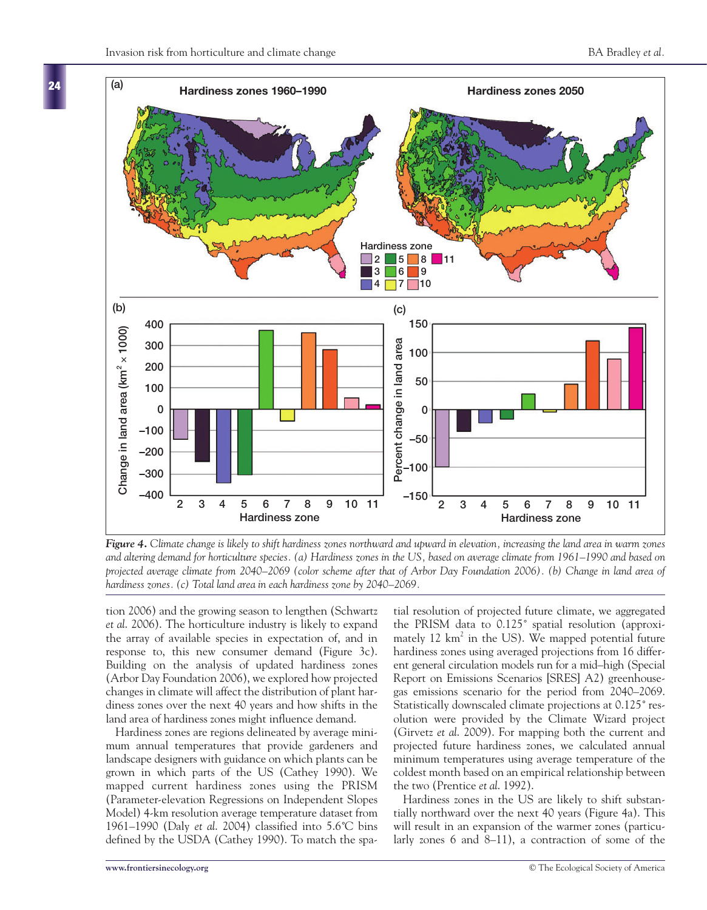**24**



*Figure 4. Climate change is likely to shift hardiness zones northward and upward in elevation, increasing the land area in warm zones and altering demand for horticulture species. (a) Hardiness zones in the US, based on average climate from 1961–1990 and based on projected average climate from 2040–2069 (color scheme after that of Arbor Day Foundation 2006). (b) Change in land area of hardiness zones. (c) Total land area in each hardiness zone by 2040–2069.*

tion 2006) and the growing season to lengthen (Schwartz *et al*. 2006). The horticulture industry is likely to expand the array of available species in expectation of, and in response to, this new consumer demand (Figure 3c). Building on the analysis of updated hardiness zones (Arbor Day Foundation 2006), we explored how projected changes in climate will affect the distribution of plant hardiness zones over the next 40 years and how shifts in the land area of hardiness zones might influence demand.

Hardiness zones are regions delineated by average minimum annual temperatures that provide gardeners and landscape designers with guidance on which plants can be grown in which parts of the US (Cathey 1990). We mapped current hardiness zones using the PRISM (Parameter-elevation Regressions on Independent Slopes Model) 4-km resolution average temperature dataset from 1961–1990 (Daly *et al*. 2004) classified into 5.6˚C bins defined by the USDA (Cathey 1990). To match the spatial resolution of projected future climate, we aggregated the PRISM data to 0.125˚ spatial resolution (approximately 12  $km^2$  in the US). We mapped potential future hardiness zones using averaged projections from 16 different general circulation models run for a mid–high (Special Report on Emissions Scenarios [SRES] A2) greenhousegas emissions scenario for the period from 2040–2069. Statistically downscaled climate projections at 0.125˚ resolution were provided by the Climate Wizard project (Girvetz *et al*. 2009). For mapping both the current and projected future hardiness zones, we calculated annual minimum temperatures using average temperature of the coldest month based on an empirical relationship between the two (Prentice *et al*. 1992).

Hardiness zones in the US are likely to shift substantially northward over the next 40 years (Figure 4a). This will result in an expansion of the warmer zones (particularly zones 6 and 8–11), a contraction of some of the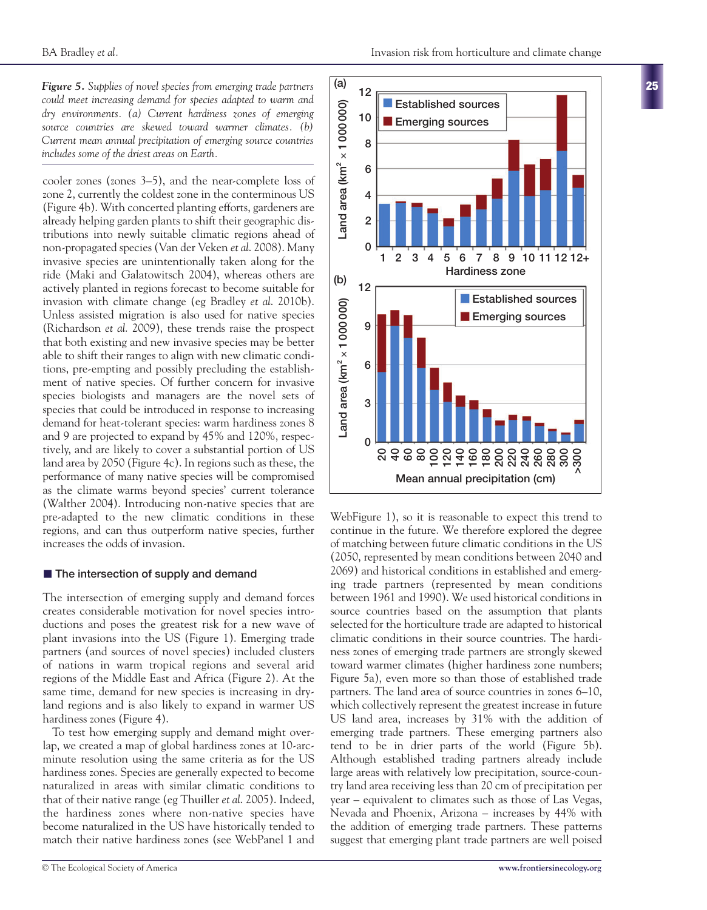*Figure 5. Supplies of novel species from emerging trade partners could meet increasing demand for species adapted to warm and dry environments. (a) Current hardiness zones of emerging source countries are skewed toward warmer climates. (b) Current mean annual precipitation of emerging source countries includes some of the driest areas on Earth.*

cooler zones (zones 3–5), and the near-complete loss of zone 2, currently the coldest zone in the conterminous US (Figure 4b). With concerted planting efforts, gardeners are already helping garden plants to shift their geographic distributions into newly suitable climatic regions ahead of non-propagated species (Van der Veken *et al*. 2008). Many invasive species are unintentionally taken along for the ride (Maki and Galatowitsch 2004), whereas others are actively planted in regions forecast to become suitable for invasion with climate change (eg Bradley *et al*. 2010b). Unless assisted migration is also used for native species (Richardson *et al*. 2009), these trends raise the prospect that both existing and new invasive species may be better able to shift their ranges to align with new climatic conditions, pre-empting and possibly precluding the establishment of native species. Of further concern for invasive species biologists and managers are the novel sets of species that could be introduced in response to increasing demand for heat-tolerant species: warm hardiness zones 8 and 9 are projected to expand by 45% and 120%, respectively, and are likely to cover a substantial portion of US land area by 2050 (Figure 4c). In regions such as these, the performance of many native species will be compromised as the climate warms beyond species' current tolerance (Walther 2004). Introducing non-native species that are pre-adapted to the new climatic conditions in these regions, and can thus outperform native species, further increases the odds of invasion.

## ■ The intersection of supply and demand

The intersection of emerging supply and demand forces creates considerable motivation for novel species introductions and poses the greatest risk for a new wave of plant invasions into the US (Figure 1). Emerging trade partners (and sources of novel species) included clusters of nations in warm tropical regions and several arid regions of the Middle East and Africa (Figure 2). At the same time, demand for new species is increasing in dryland regions and is also likely to expand in warmer US hardiness zones (Figure 4).

To test how emerging supply and demand might overlap, we created a map of global hardiness zones at 10-arcminute resolution using the same criteria as for the US hardiness zones. Species are generally expected to become naturalized in areas with similar climatic conditions to that of their native range (eg Thuiller *et al*. 2005). Indeed, the hardiness zones where non-native species have become naturalized in the US have historically tended to match their native hardiness zones (see WebPanel 1 and

**25**



WebFigure 1), so it is reasonable to expect this trend to continue in the future. We therefore explored the degree of matching between future climatic conditions in the US (2050, represented by mean conditions between 2040 and 2069) and historical conditions in established and emerging trade partners (represented by mean conditions between 1961 and 1990). We used historical conditions in source countries based on the assumption that plants selected for the horticulture trade are adapted to historical climatic conditions in their source countries. The hardiness zones of emerging trade partners are strongly skewed toward warmer climates (higher hardiness zone numbers; Figure 5a), even more so than those of established trade partners. The land area of source countries in zones 6–10, which collectively represent the greatest increase in future US land area, increases by 31% with the addition of emerging trade partners. These emerging partners also tend to be in drier parts of the world (Figure 5b). Although established trading partners already include large areas with relatively low precipitation, source-country land area receiving less than 20 cm of precipitation per year – equivalent to climates such as those of Las Vegas, Nevada and Phoenix, Arizona – increases by 44% with the addition of emerging trade partners. These patterns suggest that emerging plant trade partners are well poised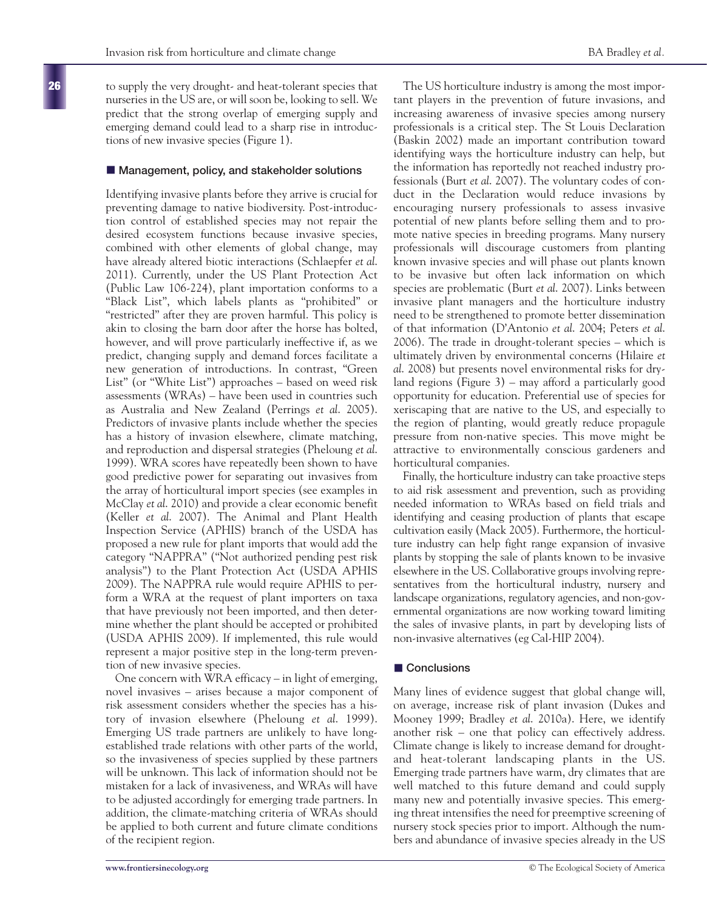to supply the very drought- and heat-tolerant species that nurseries in the US are, or will soon be, looking to sell. We predict that the strong overlap of emerging supply and emerging demand could lead to a sharp rise in introductions of new invasive species (Figure 1).

#### ■ Management, policy, and stakeholder solutions

Identifying invasive plants before they arrive is crucial for preventing damage to native biodiversity. Post-introduction control of established species may not repair the desired ecosystem functions because invasive species, combined with other elements of global change, may have already altered biotic interactions (Schlaepfer *et al*. 2011). Currently, under the US Plant Protection Act (Public Law 106-224), plant importation conforms to a "Black List", which labels plants as "prohibited" or "restricted" after they are proven harmful. This policy is akin to closing the barn door after the horse has bolted, however, and will prove particularly ineffective if, as we predict, changing supply and demand forces facilitate a new generation of introductions. In contrast, "Green List" (or "White List") approaches – based on weed risk assessments (WRAs) – have been used in countries such as Australia and New Zealand (Perrings *et al*. 2005). Predictors of invasive plants include whether the species has a history of invasion elsewhere, climate matching, and reproduction and dispersal strategies (Pheloung *et al*. 1999). WRA scores have repeatedly been shown to have good predictive power for separating out invasives from the array of horticultural import species (see examples in McClay *et al*. 2010) and provide a clear economic benefit (Keller *et al*. 2007). The Animal and Plant Health Inspection Service (APHIS) branch of the USDA has proposed a new rule for plant imports that would add the category "NAPPRA" ("Not authorized pending pest risk analysis") to the Plant Protection Act (USDA APHIS 2009). The NAPPRA rule would require APHIS to perform a WRA at the request of plant importers on taxa that have previously not been imported, and then determine whether the plant should be accepted or prohibited (USDA APHIS 2009). If implemented, this rule would represent a major positive step in the long-term prevention of new invasive species.

One concern with WRA efficacy – in light of emerging, novel invasives – arises because a major component of risk assessment considers whether the species has a history of invasion elsewhere (Pheloung *et al*. 1999). Emerging US trade partners are unlikely to have longestablished trade relations with other parts of the world, so the invasiveness of species supplied by these partners will be unknown. This lack of information should not be mistaken for a lack of invasiveness, and WRAs will have to be adjusted accordingly for emerging trade partners. In addition, the climate-matching criteria of WRAs should be applied to both current and future climate conditions of the recipient region.

The US horticulture industry is among the most important players in the prevention of future invasions, and increasing awareness of invasive species among nursery professionals is a critical step. The St Louis Declaration (Baskin 2002) made an important contribution toward identifying ways the horticulture industry can help, but the information has reportedly not reached industry professionals (Burt *et al*. 2007). The voluntary codes of conduct in the Declaration would reduce invasions by encouraging nursery professionals to assess invasive potential of new plants before selling them and to promote native species in breeding programs. Many nursery professionals will discourage customers from planting known invasive species and will phase out plants known to be invasive but often lack information on which species are problematic (Burt *et al*. 2007). Links between invasive plant managers and the horticulture industry need to be strengthened to promote better dissemination of that information (D'Antonio *et al*. 2004; Peters *et al*. 2006). The trade in drought-tolerant species – which is ultimately driven by environmental concerns (Hilaire *et al*. 2008) but presents novel environmental risks for dryland regions (Figure 3) – may afford a particularly good opportunity for education. Preferential use of species for xeriscaping that are native to the US, and especially to the region of planting, would greatly reduce propagule pressure from non-native species. This move might be attractive to environmentally conscious gardeners and horticultural companies.

Finally, the horticulture industry can take proactive steps to aid risk assessment and prevention, such as providing needed information to WRAs based on field trials and identifying and ceasing production of plants that escape cultivation easily (Mack 2005). Furthermore, the horticulture industry can help fight range expansion of invasive plants by stopping the sale of plants known to be invasive elsewhere in the US. Collaborative groups involving representatives from the horticultural industry, nursery and landscape organizations, regulatory agencies, and non-governmental organizations are now working toward limiting the sales of invasive plants, in part by developing lists of non-invasive alternatives (eg Cal-HIP 2004).

#### ■ Conclusions

Many lines of evidence suggest that global change will, on average, increase risk of plant invasion (Dukes and Mooney 1999; Bradley *et al*. 2010a). Here, we identify another risk – one that policy can effectively address. Climate change is likely to increase demand for droughtand heat-tolerant landscaping plants in the US. Emerging trade partners have warm, dry climates that are well matched to this future demand and could supply many new and potentially invasive species. This emerging threat intensifies the need for preemptive screening of nursery stock species prior to import. Although the numbers and abundance of invasive species already in the US

**26**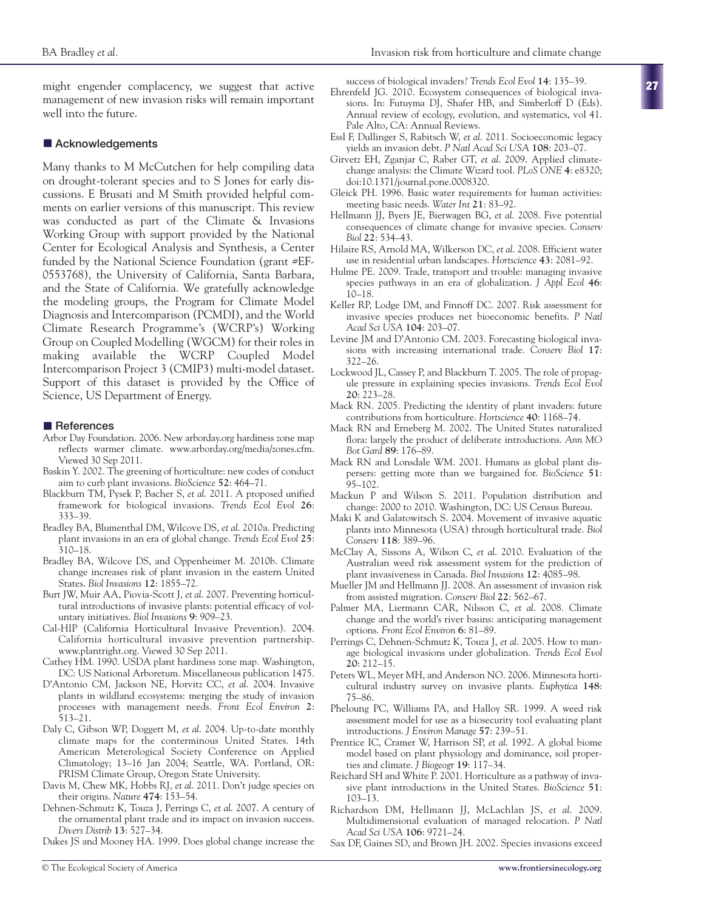might engender complacency, we suggest that active management of new invasion risks will remain important well into the future.

#### ■ Acknowledgements

Many thanks to M McCutchen for help compiling data on drought-tolerant species and to S Jones for early discussions. E Brusati and M Smith provided helpful comments on earlier versions of this manuscript. This review was conducted as part of the Climate & Invasions Working Group with support provided by the National Center for Ecological Analysis and Synthesis, a Center funded by the National Science Foundation (grant #EF-0553768), the University of California, Santa Barbara, and the State of California. We gratefully acknowledge the modeling groups, the Program for Climate Model Diagnosis and Intercomparison (PCMDI), and the World Climate Research Programme's (WCRP's) Working Group on Coupled Modelling (WGCM) for their roles in making available the WCRP Coupled Model Intercomparison Project 3 (CMIP3) multi-model dataset. Support of this dataset is provided by the Office of Science, US Department of Energy.

#### $\blacksquare$  References

- Arbor Day Foundation. 2006. New arborday.org hardiness zone map reflects warmer climate. www.arborday.org/media/zones.cfm. Viewed 30 Sep 2011.
- Baskin Y. 2002. The greening of horticulture: new codes of conduct aim to curb plant invasions. *BioScience* **52**: 464–71.
- Blackburn TM, Pysek P, Bacher S, *et al*. 2011. A proposed unified framework for biological invasions. *Trends Ecol Evol* **26**: 333–39.
- Bradley BA, Blumenthal DM, Wilcove DS, *et al*. 2010a. Predicting plant invasions in an era of global change. *Trends Ecol Evol* **25**: 310–18.
- Bradley BA, Wilcove DS, and Oppenheimer M. 2010b. Climate change increases risk of plant invasion in the eastern United States. *Biol Invasions* **12**: 1855–72.
- Burt JW, Muir AA, Piovia-Scott J, *et al*. 2007. Preventing horticultural introductions of invasive plants: potential efficacy of voluntary initiatives. *Biol Invasions* **9**: 909–23.
- Cal-HIP (California Horticultural Invasive Prevention). 2004. California horticultural invasive prevention partnership. www.plantright.org. Viewed 30 Sep 2011.
- Cathey HM. 1990. USDA plant hardiness zone map. Washington, DC: US National Arboretum. Miscellaneous publication 1475.
- D'Antonio CM, Jackson NE, Horvitz CC, *et al*. 2004. Invasive plants in wildland ecosystems: merging the study of invasion processes with management needs. *Front Ecol Environ* **2**: 513–21.
- Daly C, Gibson WP, Doggett M, *et al*. 2004. Up-to-date monthly climate maps for the conterminous United States. 14th American Meterological Society Conference on Applied Climatology; 13–16 Jan 2004; Seattle, WA. Portland, OR: PRISM Climate Group, Oregon State University.
- Davis M, Chew MK, Hobbs RJ, *et al*. 2011. Don't judge species on their origins. *Nature* **474**: 153–54.
- Dehnen-Schmutz K, Touza J, Perrings C, *et al*. 2007. A century of the ornamental plant trade and its impact on invasion success. *Divers Distrib* **13**: 527–34.

Dukes JS and Mooney HA. 1999. Does global change increase the

success of biological invaders? *Trends Ecol Evol* **14**: 135–39.

- Ehrenfeld JG. 2010. Ecosystem consequences of biological invasions. In: Futuyma DJ, Shafer HB, and Simberloff D (Eds). Annual review of ecology, evolution, and systematics, vol 41. Pale Alto, CA: Annual Reviews.
- Essl F, Dullinger S, Rabitsch W, *et al*. 2011. Socioeconomic legacy yields an invasion debt. *P Natl Acad Sci USA* **108**: 203–07.
- Girvetz EH, Zganjar C, Raber GT, *et al*. 2009. Applied climatechange analysis: the Climate Wizard tool. *PLoS ONE* **4**: e8320; doi:10.1371/journal.pone.0008320.
- Gleick PH. 1996. Basic water requirements for human activities: meeting basic needs. *Water Int* **21**: 83–92.
- Hellmann JJ, Byers JE, Bierwagen BG, *et al*. 2008. Five potential consequences of climate change for invasive species. *Conserv Biol* **22**: 534–43.
- Hilaire RS, Arnold MA, Wilkerson DC, *et al*. 2008. Efficient water use in residential urban landscapes. *Hortscience* **43**: 2081–92.
- Hulme PE. 2009. Trade, transport and trouble: managing invasive species pathways in an era of globalization. *J Appl Ecol* **46**: 10–18.
- Keller RP, Lodge DM, and Finnoff DC. 2007. Risk assessment for invasive species produces net bioeconomic benefits. *P Natl Acad Sci USA* **104**: 203–07.
- Levine JM and D'Antonio CM. 2003. Forecasting biological invasions with increasing international trade. *Conserv Biol* **17**: 322–26.
- Lockwood JL, Cassey P, and Blackburn T. 2005. The role of propagule pressure in explaining species invasions. *Trends Ecol Evol* **20**: 223–28.
- Mack RN. 2005. Predicting the identity of plant invaders: future contributions from horticulture. *Hortscience* **40**: 1168–74.
- Mack RN and Erneberg M. 2002. The United States naturalized flora: largely the product of deliberate introductions. *Ann MO Bot Gard* **89**: 176–89.
- Mack RN and Lonsdale WM. 2001. Humans as global plant dispersers: getting more than we bargained for. *BioScience* **51**: 95–102.
- Mackun P and Wilson S. 2011. Population distribution and change: 2000 to 2010. Washington, DC: US Census Bureau.
- Maki K and Galatowitsch S. 2004. Movement of invasive aquatic plants into Minnesota (USA) through horticultural trade. *Biol Conserv* **118**: 389–96.
- McClay A, Sissons A, Wilson C, *et al*. 2010. Evaluation of the Australian weed risk assessment system for the prediction of plant invasiveness in Canada. *Biol Invasions* **12**: 4085–98.
- Mueller JM and Hellmann JJ. 2008. An assessment of invasion risk from assisted migration. *Conserv Biol* **22**: 562–67.
- Palmer MA, Liermann CAR, Nilsson C, *et al*. 2008. Climate change and the world's river basins: anticipating management options. *Front Ecol Environ* **6**: 81–89.
- Perrings C, Dehnen-Schmutz K, Touza J, *et al*. 2005. How to manage biological invasions under globalization. *Trends Ecol Evol* **20**: 212–15.
- Peters WL, Meyer MH, and Anderson NO. 2006. Minnesota horticultural industry survey on invasive plants. *Euphytica* **148**: 75–86.
- Pheloung PC, Williams PA, and Halloy SR. 1999. A weed risk assessment model for use as a biosecurity tool evaluating plant introductions. *J Environ Manage* **57**: 239–51.
- Prentice IC, Cramer W, Harrison SP, *et al*. 1992. A global biome model based on plant physiology and dominance, soil properties and climate. *J Biogeogr* **19**: 117–34.
- Reichard SH and White P. 2001. Horticulture as a pathway of invasive plant introductions in the United States. *BioScience* **51**: 103–13.
- Richardson DM, Hellmann JJ, McLachlan JS, *et al*. 2009. Multidimensional evaluation of managed relocation. *P Natl Acad Sci USA* **106**: 9721–24.
- Sax DF, Gaines SD, and Brown JH. 2002. Species invasions exceed